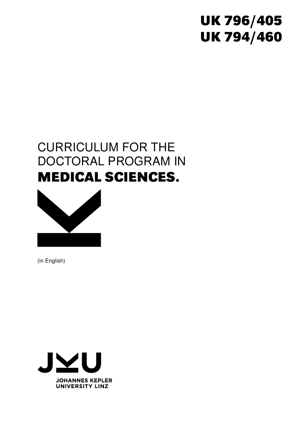# **UK 796/405 UK 794/460**

# CURRICULUM FOR THE DOCTORAL PROGRAM IN **MEDICAL SCIENCES.**



(in English)

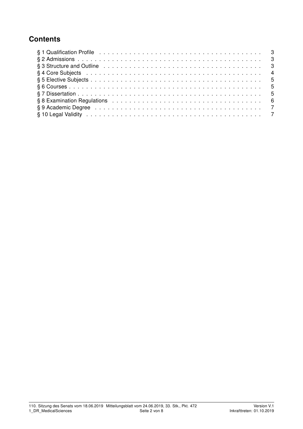## **Contents**

| § 3 Structure and Outline enterpreteration of the contract of the contract of the contract of the contract of the contract of the contract of the contract of the contract of the contract of the contract of the contract of  |
|--------------------------------------------------------------------------------------------------------------------------------------------------------------------------------------------------------------------------------|
|                                                                                                                                                                                                                                |
|                                                                                                                                                                                                                                |
|                                                                                                                                                                                                                                |
|                                                                                                                                                                                                                                |
| § 8 Examination Regulations enterprise research and service contracts of the service of the service of the service of the service of the service of the service of the service of the service of the service of the service of |
|                                                                                                                                                                                                                                |
|                                                                                                                                                                                                                                |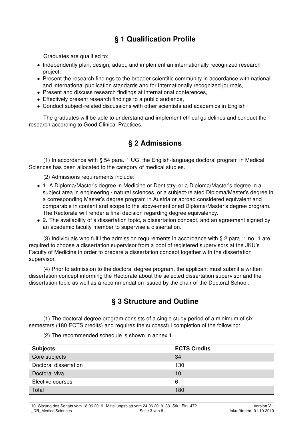# § 1 Qualification Profile

Graduates are qualified to:

- Independently plan, design, adapt, and implement an internationally recognized research project,
- Present the research findings to the broader scientific community in accordance with national and international publication standards and for internationally recognized journals,
- Present and discuss research findings at international conferences,
- Effectively present research findings to a public audience,
- Conduct subject-related discussions with other scientists and academics in English

The graduates will be able to understand and implement ethical guidelines and conduct the research according to Good Clinical Practices.

## § 2 Admissions

(1) In accordance with § 54 para. 1 UG, the English-language doctoral program in Medical Sciences has been allocated to the category of medical studies.

(2) Admissions requirements include:

- 1. A Diploma/Master's degree in Medicine or Dentistry, or a Diploma/Master's degree in a subject area in engineering / natural sciences, or a subject-related Diploma/Master's degree in a corresponding Master's degree program in Austria or abroad considered equivalent and comparable in content and scope to the above-mentioned Diploma/Master's degree program. The Rectorate will render a final decision regarding degree equivalency.
- 2. The availability of a dissertation topic, a dissertation concept, and an agreement signed by an academic faculty member to supervise a dissertation.

(3) Individuals who fulfil the admission requirements in accordance with § 2 para. 1 no. 1 are required to choose a dissertation supervisor from a pool of registered supervisors at the JKU's Faculty of Medicine in order to prepare a dissertation concept together with the dissertation supervisor.

(4) Prior to admission to the doctoral degree program, the applicant must submit a written dissertation concept informing the Rectorate about the selected dissertation supervisor and the dissertation topic as well as a recommendation issued by the chair of the Doctoral School.

## § 3 Structure and Outline

(1) The doctoral degree program consists of a single study period of a minimum of six semesters (180 ECTS credits) and requires the successful completion of the following:

(2) The recommended schedule is shown in annex 1.

| <b>Subjects</b>       | <b>ECTS Credits</b> |
|-----------------------|---------------------|
| Core subjects         | 34                  |
| Doctoral dissertation | 130                 |
| Doctoral viva         | 10                  |
| Elective courses      | 6                   |
| Total                 | 180                 |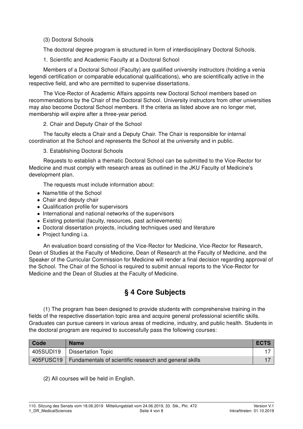(3) Doctoral Schools

The doctoral degree program is structured in form of interdisciplinary Doctoral Schools.

1. Scientific and Academic Faculty at a Doctoral School

Members of a Doctoral School (Faculty) are qualified university instructors (holding a venia legendi certification or comparable educational qualifications), who are scientifically active in the respective field, and who are permitted to supervise dissertations.

The Vice-Rector of Academic Affairs appoints new Doctoral School members based on recommendations by the Chair of the Doctoral School. University instructors from other universities may also become Doctoral School members. If the criteria as listed above are no longer met, membership will expire after a three-year period.

2. Chair and Deputy Chair of the School

The faculty elects a Chair and a Deputy Chair. The Chair is responsible for internal coordination at the School and represents the School at the university and in public.

3. Establishing Doctoral Schools

Requests to establish a thematic Doctoral School can be submitted to the Vice-Rector for Medicine and must comply with research areas as outlined in the JKU Faculty of Medicine's development plan.

The requests must include information about:

- Name/title of the School
- Chair and deputy chair
- Qualification profile for supervisors
- International and national networks of the supervisors
- Existing potential (faculty, resources, past achievements)
- Doctoral dissertation projects, including techniques used and literature
- Project funding i.a.

An evaluation board consisting of the Vice-Rector for Medicine, Vice-Rector for Research, Dean of Studies at the Faculty of Medicine, Dean of Research at the Faculty of Medicine, and the Speaker of the Curricular Commission for Medicine will render a final decision regarding approval of the School. The Chair of the School is required to submit annual reports to the Vice-Rector for Medicine and the Dean of Studies at the Faculty of Medicine.

## § 4 Core Subjects

(1) The program has been designed to provide students with comprehensive training in the fields of the respective dissertation topic area and acquire general professional scientific skills. Graduates can pursue careers in various areas of medicine, industry, and public health. Students in the doctoral program are required to successfully pass the following courses:

| Code      | <b>Name</b>                                                        | <b>ECTS</b> |
|-----------|--------------------------------------------------------------------|-------------|
| 405SUDI19 | <b>Dissertation Topic</b>                                          |             |
|           | 405FUSC19   Fundamentals of scientific research and general skills |             |

(2) All courses will be held in English.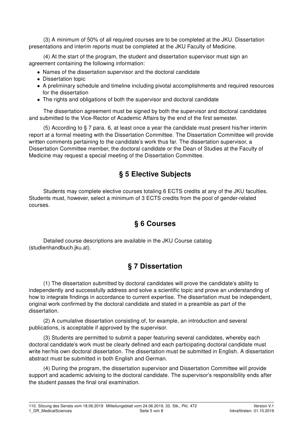(3) A minimum of 50% of all required courses are to be completed at the JKU. Dissertation presentations and interim reports must be completed at the JKU Faculty of Medicine.

(4) At the start of the program, the student and dissertation supervisor must sign an agreement containing the following information:

- Names of the dissertation supervisor and the doctoral candidate
- Dissertation topic
- A preliminary schedule and timeline including pivotal accomplishments and required resources for the dissertation
- The rights and obligations of both the supervisor and doctoral candidate

The dissertation agreement must be signed by both the supervisor and doctoral candidates and submitted to the Vice-Rector of Academic Affairs by the end of the first semester.

(5) According to § 7 para. 6, at least once a year the candidate must present his/her interim report at a formal meeting with the Dissertation Committee. The Dissertation Committee will provide written comments pertaining to the candidate's work thus far. The dissertation supervisor, a Dissertation Committee member, the doctoral candidate or the Dean of Studies at the Faculty of Medicine may request a special meeting of the Dissertation Committee.

#### § 5 Elective Subjects

Students may complete elective courses totaling 6 ECTS credits at any of the JKU faculties. Students must, however, select a minimum of 3 ECTS credits from the pool of gender-related courses.

#### § 6 Courses

Detailed course descriptions are available in the JKU Course catalog (studienhandbuch.jku.at).

# § 7 Dissertation

(1) The dissertation submitted by doctoral candidates will prove the candidate's ability to independently and successfully address and solve a scientific topic and prove an understanding of how to integrate findings in accordance to current expertise. The dissertation must be independent, original work confirmed by the doctoral candidate and stated in a preamble as part of the dissertation.

(2) A cumulative dissertation consisting of, for example, an introduction and several publications, is acceptable if approved by the supervisor.

(3) Students are permitted to submit a paper featuring several candidates, whereby each doctoral candidate's work must be clearly defined and each participating doctoral candidate must write her/his own doctoral dissertation. The dissertation must be submitted in English. A dissertation abstract must be submitted in both English and German.

(4) During the program, the dissertation supervisor and Dissertation Committee will provide support and academic advising to the doctoral candidate. The supervisor's responsibility ends after the student passes the final oral examination.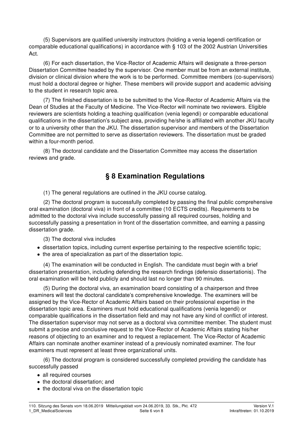(5) Supervisors are qualified university instructors (holding a venia legendi certification or comparable educational qualifications) in accordance with § 103 of the 2002 Austrian Universities Act.

(6) For each dissertation, the Vice-Rector of Academic Affairs will designate a three-person Dissertation Committee headed by the supervisor. One member must be from an external institute, division or clinical division where the work is to be performed. Committee members (co-supervisors) must hold a doctoral degree or higher. These members will provide support and academic advising to the student in research topic area.

(7) The finished dissertation is to be submitted to the Vice-Rector of Academic Affairs via the Dean of Studies at the Faculty of Medicine. The Vice-Rector will nominate two reviewers. Eligible reviewers are scientists holding a teaching qualification (venia legendi) or comparable educational qualifications in the dissertation's subject area, providing he/she is affiliated with another JKU faculty or to a university other than the JKU. The dissertation supervisor and members of the Dissertation Committee are not permitted to serve as dissertation reviewers. The dissertation must be graded within a four-month period.

(8) The doctoral candidate and the Dissertation Committee may access the dissertation reviews and grade.

## § 8 Examination Regulations

(1) The general regulations are outlined in the JKU course catalog.

(2) The doctoral program is successfully completed by passing the final public comprehensive oral examination (doctoral viva) in front of a committee (10 ECTS credits). Requirements to be admitted to the doctoral viva include successfully passing all required courses, holding and successfully passing a presentation in front of the dissertation committee, and earning a passing dissertation grade.

(3) The doctoral viva includes

- dissertation topics, including current expertise pertaining to the respective scientific topic;
- the area of specialization as part of the dissertation topic.

(4) The examination will be conducted in English. The candidate must begin with a brief dissertation presentation, including defending the research findings (defensio dissertationis). The oral examination will be held publicly and should last no longer than 90 minutes.

(5) During the doctoral viva, an examination board consisting of a chairperson and three examiners will test the doctoral candidate's comprehensive knowledge. The examiners will be assigned by the Vice-Rector of Academic Affairs based on their professional expertise in the dissertation topic area. Examiners must hold educational qualifications (venia legendi) or comparable qualifications in the dissertation field and may not have any kind of conflict of interest. The dissertation supervisor may not serve as a doctoral viva committee member. The student must submit a precise and conclusive request to the Vice-Rector of Academic Affairs stating his/her reasons of objecting to an examiner and to request a replacement. The Vice-Rector of Academic Affairs can nominate another examiner instead of a previously nominated examiner. The four examiners must represent at least three organizational units.

(6) The doctoral program is considered successfully completed providing the candidate has successfully passed

- all required courses
- the doctoral dissertation; and
- the doctoral viva on the dissertation topic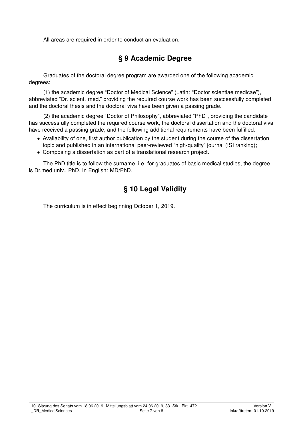All areas are required in order to conduct an evaluation.

## § 9 Academic Degree

Graduates of the doctoral degree program are awarded one of the following academic degrees:

(1) the academic degree "Doctor of Medical Science" (Latin: "Doctor scientiae medicae"), abbreviated "Dr. scient. med." providing the required course work has been successfully completed and the doctoral thesis and the doctoral viva have been given a passing grade.

(2) the academic degree "Doctor of Philosophy", abbreviated "PhD", providing the candidate has successfully completed the required course work, the doctoral dissertation and the doctoral viva have received a passing grade, and the following additional requirements have been fulfilled:

- Availability of one, first author publication by the student during the course of the dissertation topic and published in an international peer-reviewed "high-quality" journal (ISI ranking);
- Composing a dissertation as part of a translational research project.

The PhD title is to follow the surname, i.e. for graduates of basic medical studies, the degree is Dr.med.univ., PhD. In English: MD/PhD.

# § 10 Legal Validity

The curriculum is in effect beginning October 1, 2019.